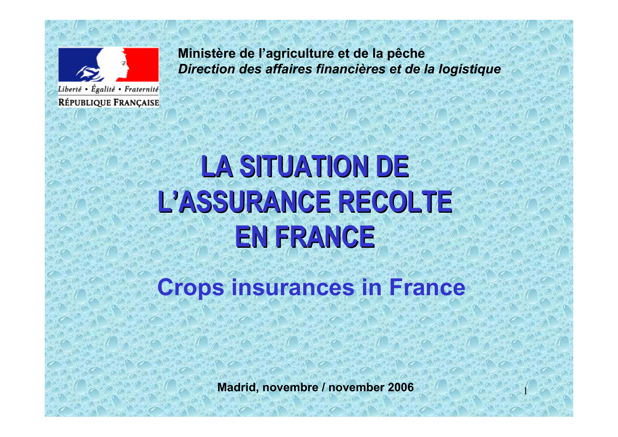

**Ministère de l'agriculture et de la pêche** *Direction des affaires financières et de la logistique*

# **LA SITUATION DE LA SITUATION DEL 'ASSURANCE RECOLTE ASSURANCE RECOLTEEN FRANCE EN FRANCE**

**Crops insurances in France**

**Madrid, novembre / november 2006**

1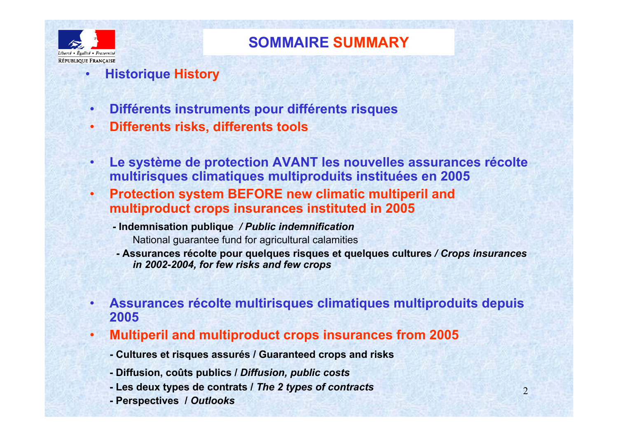

•

## **SOMMAIRE SUMMARY**

- **Historique History**
- •**Différents instruments pour différents risques**
- •**Differents risks, differents tools**
- • **Le système de protection AVANT les nouvelles assurances récolte multirisques climatiques multiproduits instituées en 2005**
- • **Protection system BEFORE new climatic multiperil and multiproduct crops insurances instituted in 2005**
	- **- Indemnisation publique** */ Public indemnification* National guarantee fund for agricultural calamities
	- **- Assurances récolte pour quelques risques et quelques cultures** */ Crops insurances in 2002-2004, for few risks and few crops*
- • **Assurances récolte multirisques climatiques multiproduits depuis 2005**
- • **Multiperil and multiproduct crops insurances from 2005**
	- **- Cultures et risques assurés / Guaranteed crops and risks**
	- **- Diffusion, coûts publics /** *Diffusion, public costs*
	- **- Les deux types de contrats /** *The 2 types of contracts*
	- **- Perspectives /** *Outlooks*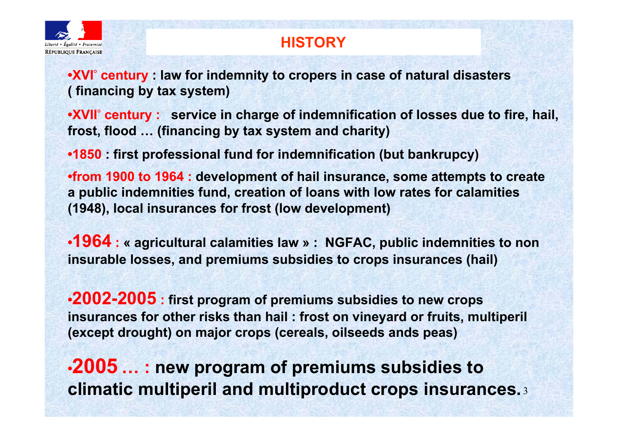

# **HISTORY**

- **•XVI° century : law for indemnity to cropers in case of natural disasters ( financing by tax system)**
- **•XVII° century : service in charge of indemnification of losses due to fire, hail, frost, flood … (financing by tax system and charity)**
- **•1850 : first professional fund for indemnification (but bankrupcy)**
- **•from 1900 to 1964 : development of hail insurance, some attempts to create a public indemnities fund, creation of loans with low rates for calamities (1948), local insurances for frost (low development)**
- **•1964 : « agricultural calamities law » : NGFAC, public indemnities to non insurable losses, and premiums subsidies to crops insurances (hail)**
- **•2002-2005 : first program of premiums subsidies to new crops insurances for other risks than hail : frost on vineyard or fruits, multiperil (except drought) on major crops (cereals, oilseeds ands peas)**
- **climatic multiperil and multiproduct crops insurances.**3 **•2005 … : new program of premiums subsidies to**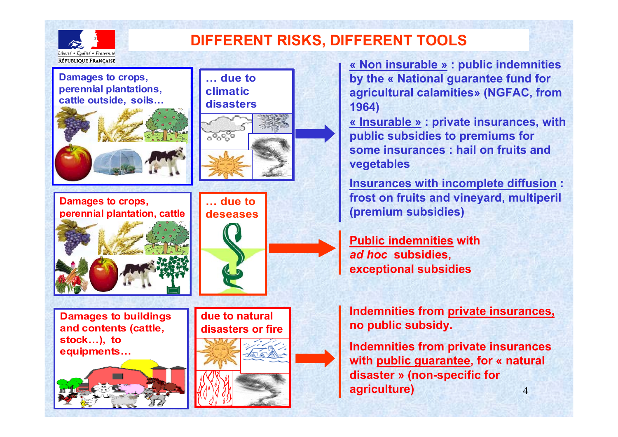

# **DIFFERENT RISKS, DIFFERENT TOOLS**

**Damages to crops, perennial plantations, cattle outside, soils…** 



**Damages to crops, perennial plantation, cattle**



**Damages to buildings and contents (cattle, stock…), to equipments…**











**« Non insurable » : public indemnities by the « National guarantee fund for agricultural calamities» (NGFAC, from 1964)**

**« Insurable » : private insurances, with public subsidies to premiums for some insurances : hail on fruits and vegetables**

**Insurances with incomplete diffusion : frost on fruits and vineyard, multiperil (premium subsidies)**

**Public indemnities with** *ad hoc* **subsidies, exceptional subsidies**

**Indemnities from private insurances, no public subsidy.**

4**Indemnities from private insurances with public guarantee, for « natural disaster » (non-specific for agriculture)**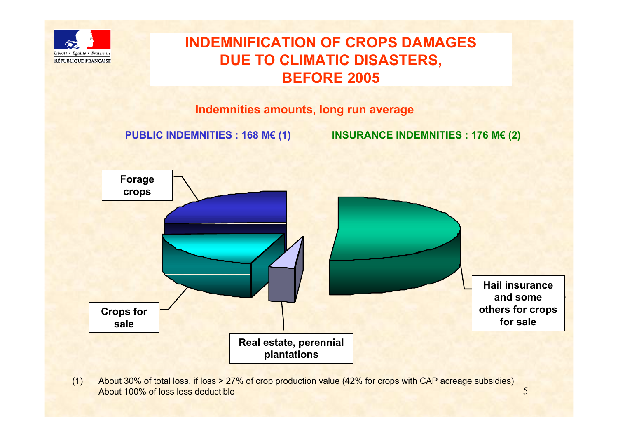

## **INDEMNIFICATION OF CROPS DAMAGESDUE TO CLIMATIC DISASTERS, BEFORE 2005**

#### **Indemnities amounts, long run average**

**PUBLIC INDEMNITIES : 168 M€ (1) INSURANCE INDEMNITIES : 176 M€ (2)**



(1) About 30% of total loss, if loss > 27% of crop production value (42% for crops with CAP acreage subsidies) About 100% of loss less deductible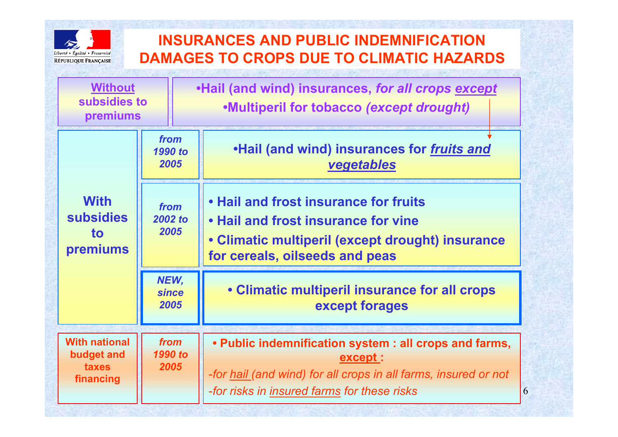

# **INSURANCES AND PUBLIC INDEMNIFICATION DAMAGES TO CROPS DUE TO CLIMATIC HAZARDS**

| <b>Without</b><br>subsidies to<br>premiums               |                         |                              | .Hail (and wind) insurances, for all crops except<br>.Multiperil for tobacco (except drought)                                                                                       |   |  |
|----------------------------------------------------------|-------------------------|------------------------------|-------------------------------------------------------------------------------------------------------------------------------------------------------------------------------------|---|--|
| <b>With</b><br><b>subsidies</b><br><b>to</b><br>premiums | from<br>1990 to<br>2005 |                              | .Hail (and wind) insurances for fruits and<br>vegetables                                                                                                                            |   |  |
|                                                          | from<br>2002 to<br>2005 |                              | • Hail and frost insurance for fruits<br>• Hail and frost insurance for vine<br>• Climatic multiperil (except drought) insurance<br>for cereals, oilseeds and peas                  |   |  |
|                                                          |                         | NEW,<br><b>since</b><br>2005 | • Climatic multiperil insurance for all crops<br>except forages                                                                                                                     |   |  |
| <b>With national</b><br>budget and<br>taxes<br>financing |                         | from<br>1990 to<br>2005      | • Public indemnification system : all crops and farms,<br>except:<br>-for hail (and wind) for all crops in all farms, insured or not<br>-for risks in insured farms for these risks | 6 |  |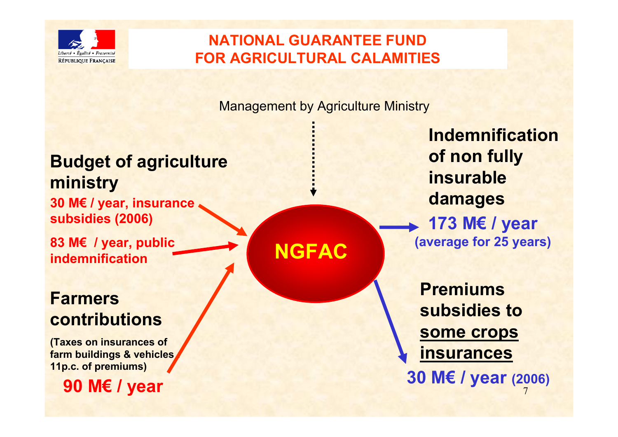

# **NATIONAL GUARANTEE FUND FOR AGRICULTURAL CALAMITIES**

Management by Agriculture Ministry

# **Budget of agriculture ministry**

**30 M€ / year, insurance subsidies (2006)**

**83 M€ / year, public indemnification**

# **armers contributions**

**(Taxes on insurances of**  *fm* buildings & vehicles **11p.c. of premiums)**

**90 M€ / year**

**NGFAC**

**Indemnification of non fully insurabledamages 173 M€ / year (average for 25 years)**

7**Premiums subsidies to some crops insurances 30 M€ / year (2006)**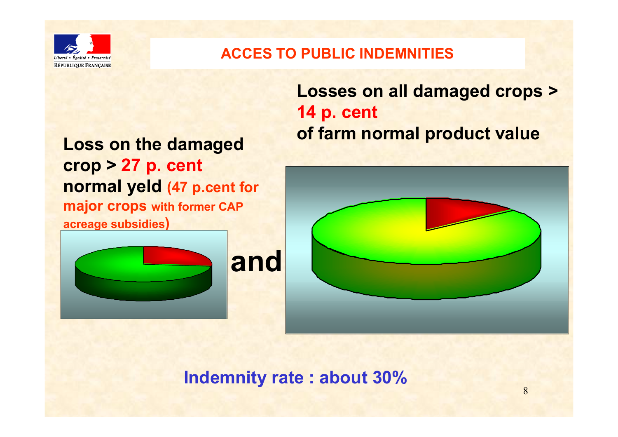

## **ACCES TO PUBLIC INDEMNITIES**

# **Loss on the damaged crop > 27 p. cent normal yeld (47 p.cent for major crops** with **former CAP acreage subsidies )**





**Indemnity rate : about 30%**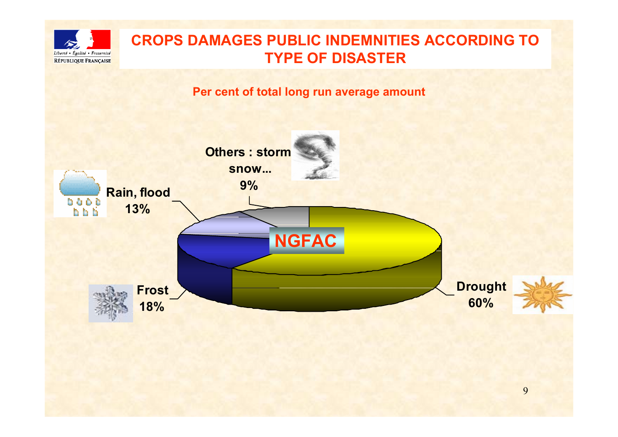

## **CROPS DAMAGES PUBLIC INDEMNITIES ACCORDING TO TYPE OF DISASTER**

**Per cent of total long run average amount**

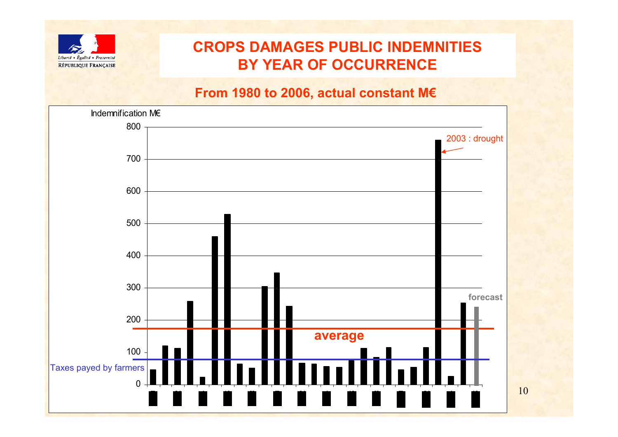

# **CROPS DAMAGES PUBLIC INDEMNITIES BY YEAR OF OCCURRENCE**

10

#### **From 1980 to 2006, actual constant M€**

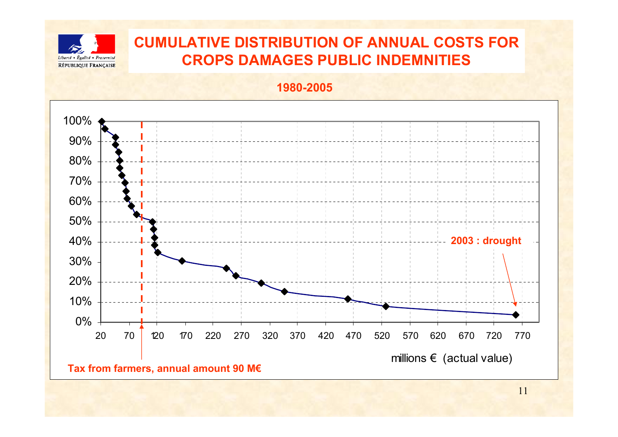

# **CUMULATIVE DISTRIBUTION OF ANNUAL COSTS FOR CROPS DAMAGES PUBLIC INDEMNITIES**

**1980-2005**



**Tax from farmers, annual amount 90 M€**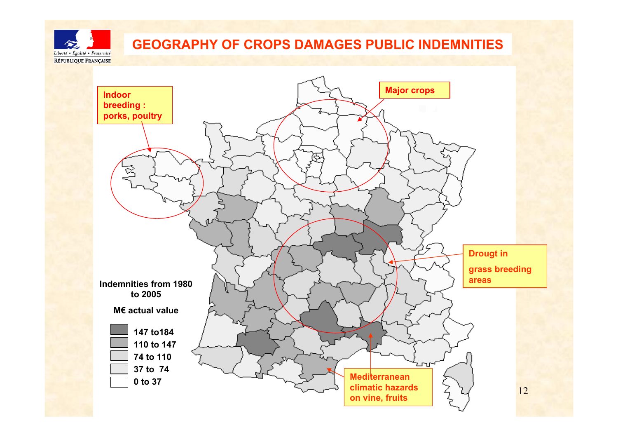

## **GEOGRAPHY OF CROPS DAMAGES PUBLIC INDEMNITIES**

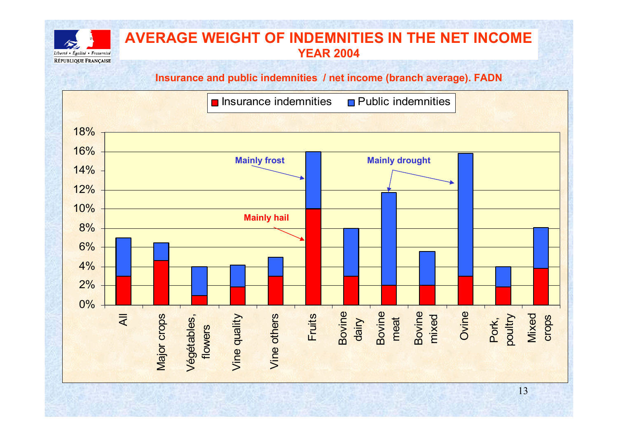

#### **AVERAGE WEIGHT OF INDEMNITIES IN THE NET INCOME YEAR 2004**

#### **Insurance and public indemnities / net income (branch average). FADN**

 $\blacksquare$  Insurance indemnities

 $\blacksquare$  Public indemnities

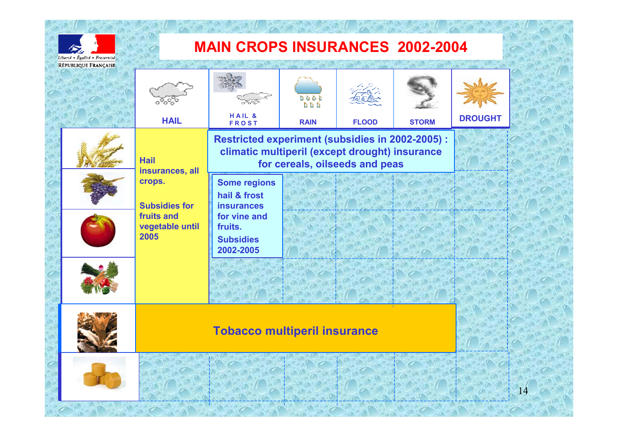

# **MAIN CROPS INSURANCES 2002-2004**

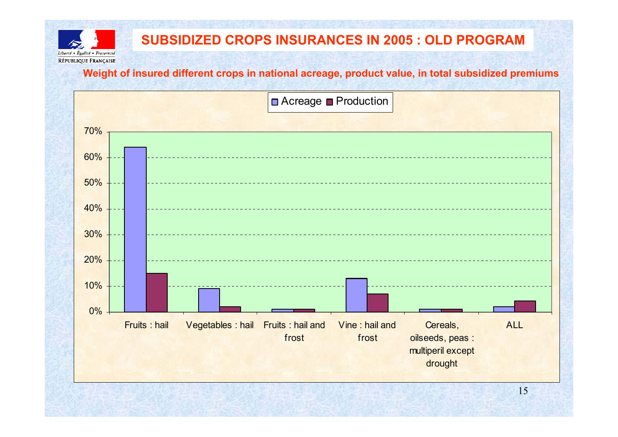

### **SUBSIDIZED CROPS INSURANCES IN 2005 : OLD PROGRAM**

**Weight of insured different crops in national acreage, product value, in total subsidized premiums**

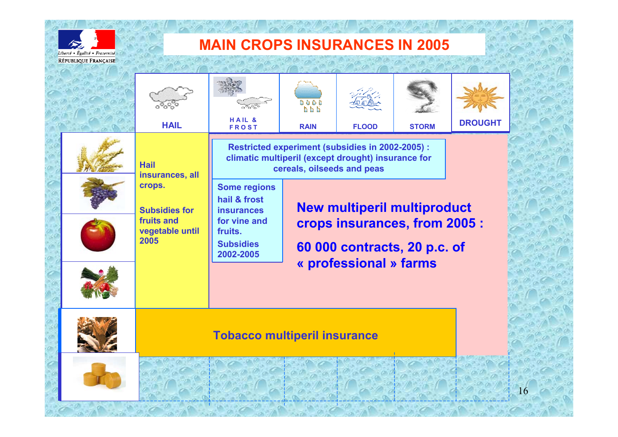

# **MAIN CROPS INSURANCES IN 2005**

|  | <b>HAIL</b>                                                                    | HAIL &<br><b>FROST</b>                                                                                                               | $0 \quad 0 \quad 0 \quad 0$<br>h h h<br><b>RAIN</b> | <b>FLOOD</b>                       | <b>STORM</b> | <b>DROUGHT</b> |
|--|--------------------------------------------------------------------------------|--------------------------------------------------------------------------------------------------------------------------------------|-----------------------------------------------------|------------------------------------|--------------|----------------|
|  | <b>Hail</b><br>insurances, all<br>crops.<br><b>Subsidies for</b><br>fruits and | Restricted experiment (subsidies in 2002-2005) :<br>climatic multiperil (except drought) insurance for<br>cereals, oilseeds and peas |                                                     |                                    |              |                |
|  |                                                                                | <b>Some regions</b><br>hail & frost<br><b>insurances</b><br>for vine and                                                             |                                                     | <b>New multiperil multiproduct</b> |              |                |
|  | vegetable until<br>2005                                                        | crops insurances, from 2005 :<br>fruits.<br><b>Subsidies</b><br>60 000 contracts, 20 p.c. of<br>2002-2005<br>« professional » farms  |                                                     |                                    |              |                |
|  |                                                                                |                                                                                                                                      |                                                     |                                    |              |                |
|  | <b>Tobacco multiperil insurance</b>                                            |                                                                                                                                      |                                                     |                                    |              |                |
|  |                                                                                |                                                                                                                                      |                                                     |                                    |              |                |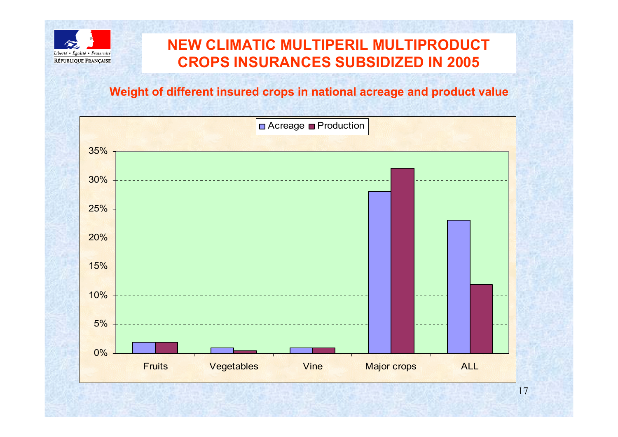

# **NEW CLIMATIC MULTIPERIL MULTIPRODUCTCROPS INSURANCES SUBSIDIZED IN 2005**

#### **Weight of different insured crops in national acreage and product value**

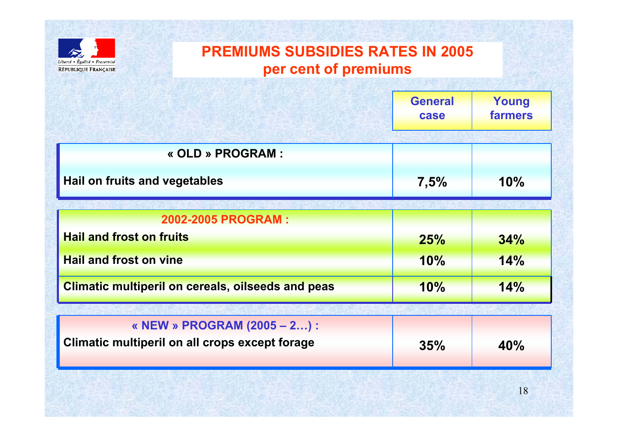

# **PREMIUMS SUBSIDIES RATES IN 2005 per cent of premiums**

|                                                          | <b>General</b><br>case | Young<br><b>farmers</b> |  |
|----------------------------------------------------------|------------------------|-------------------------|--|
| « OLD » PROGRAM :                                        |                        |                         |  |
| Hail on fruits and vegetables                            | 7,5%                   | 10%                     |  |
|                                                          |                        |                         |  |
| 2002-2005 PROGRAM:                                       |                        |                         |  |
| <b>Hail and frost on fruits</b>                          | 25%                    | 34%                     |  |
| <b>Hail and frost on vine</b>                            | 10%                    | 14%                     |  |
| <b>Climatic multiperil on cereals, oilseeds and peas</b> | 10%                    | 14%                     |  |
|                                                          |                        |                         |  |
| « NEW » PROGRAM (2005 – 2) :                             |                        |                         |  |
| <b>Climatic multiperil on all crops except forage</b>    | 35%                    | 40%                     |  |
|                                                          |                        |                         |  |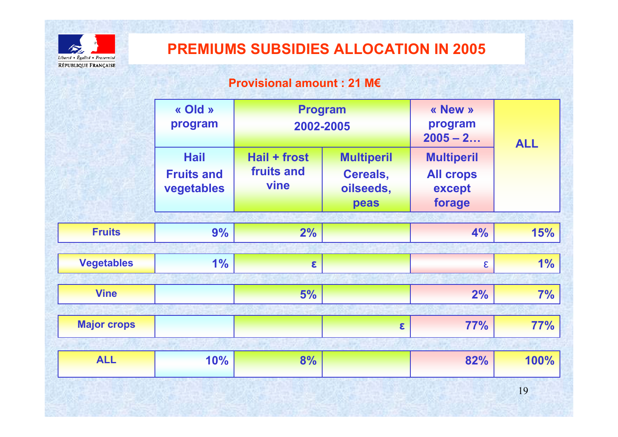

## **PREMIUMS SUBSIDIES ALLOCATION IN 2005**

#### **Provisional amount : 21 M€**

|                    | « Old »<br>program<br><b>Hail</b><br><b>Fruits and</b><br>vegetables | <b>Program</b><br>2002-2005<br>Hail + frost<br>fruits and<br>vine | <b>Multiperil</b><br>Cereals,<br>oilseeds,<br>peas | « New »<br>program<br>$2005 - 2$<br><b>Multiperil</b><br><b>All crops</b><br>except<br>forage | <b>ALL</b> |
|--------------------|----------------------------------------------------------------------|-------------------------------------------------------------------|----------------------------------------------------|-----------------------------------------------------------------------------------------------|------------|
| <b>Fruits</b>      |                                                                      |                                                                   |                                                    |                                                                                               |            |
|                    | 9%                                                                   | 2%                                                                |                                                    | 4%                                                                                            | 15%        |
| <b>Vegetables</b>  | 1%                                                                   | $\epsilon$                                                        |                                                    | $\epsilon$                                                                                    | 1%         |
| <b>Vine</b>        |                                                                      | 5%                                                                |                                                    | 2%                                                                                            | 7%         |
| <b>Major crops</b> |                                                                      |                                                                   | $\mathbf{g}$                                       | <b>77%</b>                                                                                    | 77%        |
| <b>ALL</b>         | 10%                                                                  | 8%                                                                |                                                    | 82%                                                                                           | 100%       |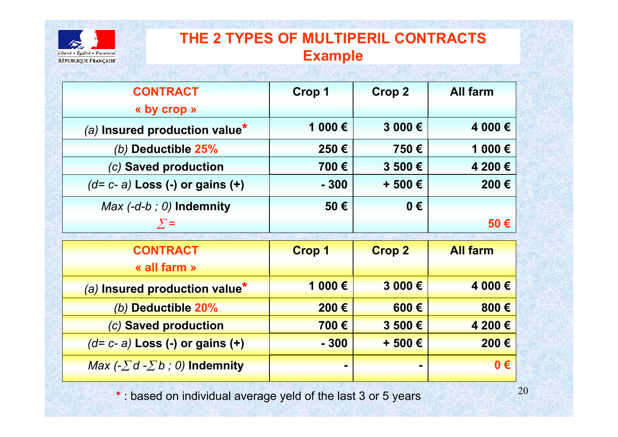

## **THE 2 TYPES OF MULTIPERIL CONTRACTS Example**

| <b>CONTRACT</b>                             | <b>Crop 1</b> | <b>Crop 2</b> | <b>All farm</b> |
|---------------------------------------------|---------------|---------------|-----------------|
| « by crop »                                 |               |               |                 |
| (a) Insured production value*               | 1 000€        | 3 000€        | 4 000€          |
| (b) Deductible 25%                          | 250€          | 750€          | 1 000€          |
| (c) Saved production                        | 700€          | 3 500€        | 4 200€          |
| $(d=c-a)$ Loss (-) or gains (+)             | $-300$        | + 500€        | 200€            |
| <i>Max <math>(-d-b; 0)</math> Indemnity</i> | 50€           | $0 \in$       |                 |
| $\sum$ =                                    |               |               | $50 \in$        |
|                                             |               |               |                 |
| <b>CONTRACT</b>                             | <b>Crop 1</b> | <b>Crop 2</b> | <b>All farm</b> |
| « all farm »                                |               |               |                 |
| (a) Insured production value*               | 1 000€        | 3 000€        | 4 000€          |
| (b) Deductible 20%                          | 200€          | 600€          | 800€            |
| (c) Saved production                        | 700€          | 3 500€        | 4 200€          |
| $(d=c-a)$ Loss (-) or gains (+)             | $-300$        | + 500 €       | 200€            |

**\*** : based on individual average yeld of the last 3 or 5 years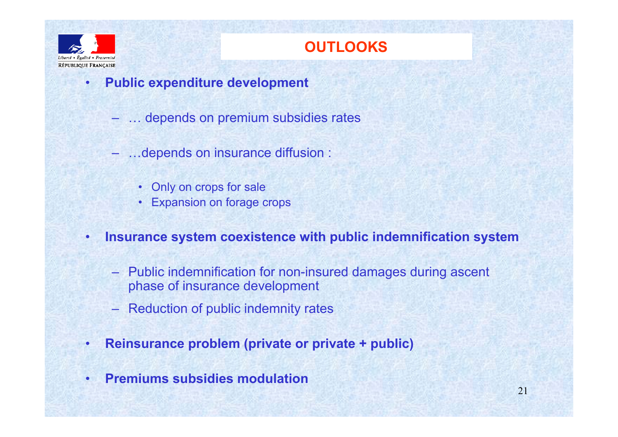

•

# **OUTLOOKS**

- **Public expenditure development**
	- … depends on premium subsidies rates
	- …depends on insurance diffusion :
		- Only on crops for sale
		- •Expansion on forage crops
- • **Insurance system coexistence with public indemnification system**
	- Public indemnification for non-insured damages during ascent phase of insurance development
	- Reduction of public indemnity rates
- •**Reinsurance problem (private or private + public)**
- •**Premiums subsidies modulation**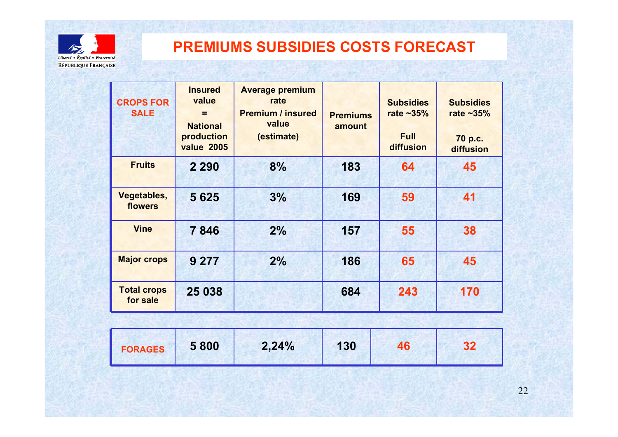

# **PREMIUMS SUBSIDIES COSTS FORECAST**

ing the last and the compact of a state of the compact of the compact of the compact of the compact of the compact of the compact of the compact of the compact of the compact of the compact of the compact of the compact of

| <b>CROPS FOR</b><br><b>SALE</b> | <b>Insured</b><br>value<br>=<br><b>National</b><br>production<br><b>value 2005</b> | <b>Average premium</b><br>rate<br><b>Premium / insured</b><br>value<br>(estimate) | <b>Premiums</b><br>amount | <b>Subsidies</b><br>rate $-35%$<br><b>Full</b><br>diffusion | <b>Subsidies</b><br>rate $-35%$<br>70 p.c.<br>diffusion |
|---------------------------------|------------------------------------------------------------------------------------|-----------------------------------------------------------------------------------|---------------------------|-------------------------------------------------------------|---------------------------------------------------------|
| <b>Fruits</b>                   | 2 2 9 0                                                                            | 8%                                                                                | 183                       | 64                                                          | 45                                                      |
| Vegetables,<br>flowers          | 5 6 2 5                                                                            | 3%                                                                                | 169                       | 59                                                          | 41                                                      |
| <b>Vine</b>                     | 7846                                                                               | 2%                                                                                | 157                       | 55                                                          | 38                                                      |
| <b>Major crops</b>              | 9 2 7 7                                                                            | 2%                                                                                | 186                       | 65                                                          | 45                                                      |
| <b>Total crops</b><br>for sale  | 25 038                                                                             |                                                                                   | 684                       | 243                                                         | 170                                                     |

| <b>FORAGES</b> | 5 800 | 2,24% | 130 | 46 | っっ |  |
|----------------|-------|-------|-----|----|----|--|
|----------------|-------|-------|-----|----|----|--|

12642645